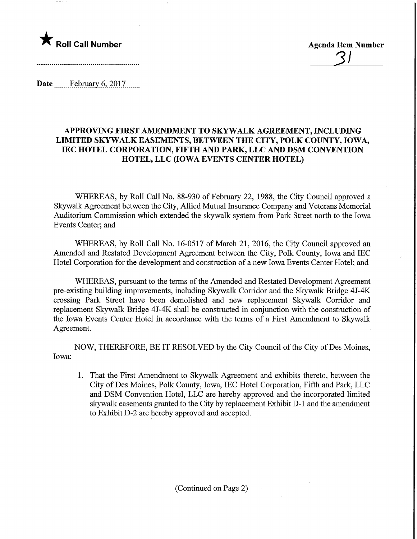

<u>31</u>

Date February 6, 2017

## APPROVING FIRST AMENDMENT TO SKYWALK AGREEMENT, INCLUDING LIMITED SKYWALK EASEMENTS, BETWEEN THE CITY, POLK COUNTY, IOWA, IEC HOTEL CORPORATION, FIFTH AND PARK, LLC AND DSM CONVENTION HOTEL, LLC (IOWA EVENTS CENTER HOTEL)

WHEREAS, by Roll Call No. 88-930 of February 22, 1988, the City Council approved a Skywalk Agreement between the City, Allied Mutual Insurance Company and Veterans Memorial Auditorium Commission which extended the skywalk system from Park Street north to the Iowa Events Center; and

WHEREAS, by Roll Call No. 16-0517 of March 21, 2016, the City Council approved an Amended and Restated Development Agreement between the City, Polk County, Iowa and IEC Hotel Corporation for the development and construction of a new Iowa Events Center Hotel; and

WHEREAS, pursuant to the terms of the Amended and Restated Development Agreement pre-existing building improvements, including Skywalk Corridor and the Skywalk Bridge 4J-4K crossing Park Street have been demolished and new replacement Skywalk Corridor and replacement Skywalk Bridge 4J-4K shall be constmcted in conjunction with the construction of the Iowa Events Center Hotel in accordance with the terms of a First Amendment to Skywalk Agreement.

NOW, THEREFORE, BE IT RESOLVED by the City Council of the City of Des Moines, Iowa:

1. That the First Amendment to Skywalk Agreement and exhibits thereto, between the City of Des Moines, Polk County, Iowa, IEC Hotel Corporation, Fifth and Park, LLC and DSM Convention Hotel, LLC are hereby approved and the incorporated limited skywalk easements granted to the City by replacement Exhibit D-l and the amendment to Exhibit D-2 are hereby approved and accepted.

(Continued on Page 2)